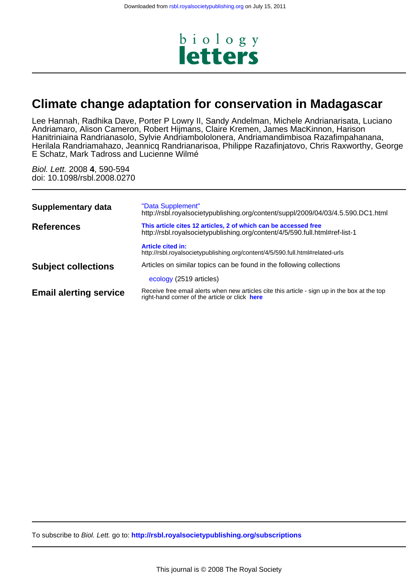

# **Climate change adaptation for conservation in Madagascar**

E Schatz, Mark Tadross and Lucienne Wilmé Herilala Randriamahazo, Jeannicq Randrianarisoa, Philippe Razafinjatovo, Chris Raxworthy, George Hanitriniaina Randrianasolo, Sylvie Andriambololonera, Andriamandimbisoa Razafimpahanana, Andriamaro, Alison Cameron, Robert Hijmans, Claire Kremen, James MacKinnon, Harison Lee Hannah, Radhika Dave, Porter P Lowry II, Sandy Andelman, Michele Andrianarisata, Luciano

doi: 10.1098/rsbl.2008.0270 Biol. Lett. 2008 **4**, 590-594

| <b>Supplementary data</b>     | "Data Supplement"<br>http://rsbl.royalsocietypublishing.org/content/suppl/2009/04/03/4.5.590.DC1.html                                           |
|-------------------------------|-------------------------------------------------------------------------------------------------------------------------------------------------|
| <b>References</b>             | This article cites 12 articles, 2 of which can be accessed free<br>http://rsbl.royalsocietypublishing.org/content/4/5/590.full.html#ref-list-1  |
|                               | <b>Article cited in:</b><br>http://rsbl.royalsocietypublishing.org/content/4/5/590.full.html#related-urls                                       |
| <b>Subject collections</b>    | Articles on similar topics can be found in the following collections                                                                            |
|                               | ecology (2519 articles)                                                                                                                         |
| <b>Email alerting service</b> | Receive free email alerts when new articles cite this article - sign up in the box at the top<br>right-hand corner of the article or click here |
|                               |                                                                                                                                                 |

To subscribe to Biol. Lett. go to: **<http://rsbl.royalsocietypublishing.org/subscriptions>**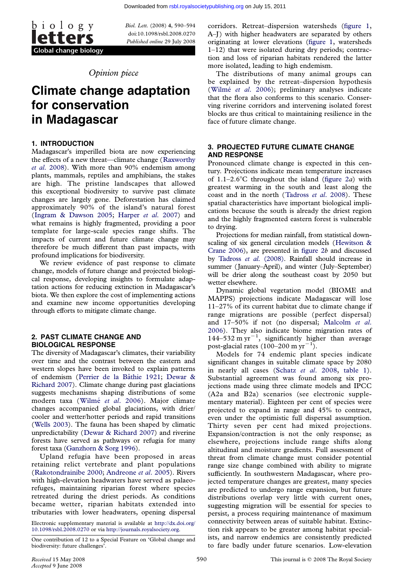

doi:10.1098/rsbl.2008.0270 Published online 29 July 2008

## Opinion piece

# Climate change adaptation for conservation in Madagascar

### 1. INTRODUCTION

Madagascar's imperilled biota are now experiencing the effects of a new threat—climate change (Raxworthy et al. 2008). With more than 90% endemism among plants, mammals, reptiles and amphibians, the stakes are high. The pristine landscapes that allowed this exceptional biodiversity to survive p[ast climate](#page-5-0) [changes are](#page-5-0) largely gone. Deforestation has claimed approximately 90% of the island's natural forest (Ingram & Dawson 2005; Harper et al. 2007) and what remains is highly fragmented, providing a poor template for large-scale species range shifts. The impacts of current and future climate change may t[herefore be much differen](#page-5-0)t [than past impacts,](#page-5-0) with profound implications for biodiversity.

We review evidence of past response to climate change, models of future change and projected biological response, developing insights to formulate adaptation actions for reducing extinction in Madagascar's biota. We then explore the cost of implementing actions and examine new income opportunities developing through efforts to mitigate climate change.

#### 2. PAST CLIMATE CHANGE AND BIOLOGICAL RESPONSE

The diversity of Madagascar's climates, their variability over time and the contrast between the eastern and western slopes have been invoked to explain patterns of endemism (Perrier de la Baˆthie 1921; Dewar & Richard 2007). Climate change during past glaciations suggests mechanisms shaping distributions of some modern taxa (Wilmé et al. 2006). Major climate changes acco[mpanied global glaciations,](#page-5-0) [with drier/](#page-5-0) [cooler and we](#page-5-0)tter/hotter periods and rapid transitions (Wells 2003). The fauna has been shaped by climatic unpredictability [\(Dewar & Richard 2](#page-5-0)007) and riverine forests have served as pathways or refugia for many forest taxa (Ganzhorn & Sorg 1996).

[Upland](#page-5-0) refugia have been proposed in areas retaining relict [vertebrate and plant](#page-5-0) populations (Rakotondrainibe 2000; Andreone et al. 2005). Rivers with high-e[levation headwaters hav](#page-5-0)e served as palaeorefuges, maintaining riparian forest where species retreated during the driest periods. As conditions [became wetter, ripar](#page-5-0)i[an habitats extend](#page-4-0)ed into tributaries with lower headwaters, opening dispersal

Electronic supplementary material is available at http://dx.doi.org/ 10.1098/rsbl.2008.0270 or via http://journals.royalsociety.org.

A–J) with higher headwaters are separated by others [originating a](http://rsbl.royalsocietypublishing.org/)t lower elevations (figure 1, watersheds 1–12) that were isolated during dry periods; contraction and loss of riparian habitats rendered [the latter](#page-2-0) more isolated, leading to high endemism.

The distributions of many [animal](#page-2-0) groups can be explained by the retreat–dispersion hypothesis (Wilmé et al. 2006); preliminary analyses indicate that the flora also conforms to this scenario. Conserving riverine corridors and intervening isolated forest blocks are thus critical to maintaining resilience in the f[ace of future climate](#page-5-0) change.

### 3. PROJECTED FUTURE CLIMATE CHANGE AND RESPONSE

Pronounced climate change is expected in this century. Projections indicate mean temperature increases of  $1.1-2.6^{\circ}$ C throughout the island (figure 2*a*) with greatest warming in the south and least along the coast and in the north (Tadross et al. 2008). These spatial characteristics have important biological implications because the south is already t[he driest](#page-3-0) region and the highly fragmented eastern forest is vulnerable to drying.

Projections for median [rainfall,](#page-5-0) [from](#page-5-0) [statistic](#page-5-0)al downscaling of six general circulation models (Hewitson & Crane 2006), are presented in figure 2b and discussed by Tadross et al. (2008). Rainfall should increase in summer (January–April), and winter (July–September) will be drier along the southeast coast [by 2050 but](#page-5-0) [wetter elsewh](#page-5-0)ere.

[Dynamic global veget](#page-5-0)ation [model](#page-3-0) (BIOME and MAPPS) projections indicate Madagascar will lose 11–27% of its current habitat due to climate change if range migrations are possible (perfect dispersal) and 17–50% if not (no dispersal; Malcolm et al. 2006). They also indicate biome migration rates of  $144-532$  m yr<sup>-1</sup>, significantly higher than average post-glacial rates  $(100-200 \text{ m yr}^{-1})$ .

Models for 74 endemic plant [species indicate](#page-5-0) [signifi](#page-5-0)cant changes in suitable climate space by 2080 in nearly all cases (Schatz et al. 2008, table 1). Substantial agreement was found among six projections made using three climate models and IPCC (A2a and B2a) scenarios (see electronic supplementary material). Ei[ghteen per cent of sp](#page-5-0)[ecies wer](#page-4-0)e projected to expand in range and 45% to contract, even under the optimistic full dispersal assumption. Thirty seven per cent had mixed projections. Expansion/contraction is not the only response; as elsewhere, projections include range shifts along altitudinal and moisture gradients. Full assessment of threat from climate change must consider potential range size change combined with ability to migrate sufficiently. In southwestern Madagascar, where projected temperature changes are greatest, many species are predicted to undergo range expansion, but future distributions overlap very little with current ones, suggesting migration will be essential for species to persist, a process requiring maintenance of maximum connectivity between areas of suitable habitat. Extinction risk appears to be greater among habitat specialists, and narrow endemics are consistently predicted to fare badly under future scenarios. Low-elevation

One contribution of 12 to a Special Feature on 'Global change and biodiversity: future challenges'.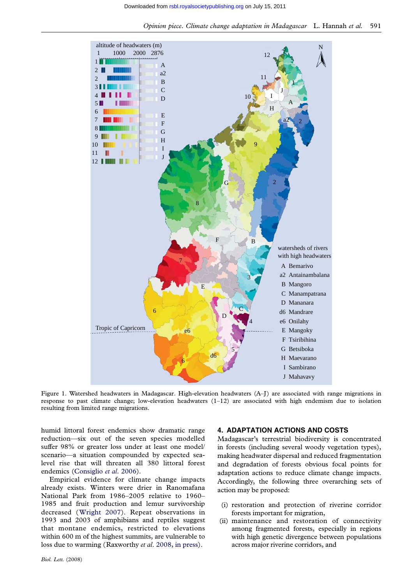<span id="page-2-0"></span>

Figure 1. Watershed headwaters in Madagascar. High-elevation headwaters (A–J) are associated with range migrations in response to past climate change; low-elevation headwaters (1–12) are associated with high endemism due to isolation resulting from limited range migrations.

humid littoral forest endemics show dramatic range reduction—six out of the seven species modelled suffer 98% or greater loss under at least one model/ scenario—a situation compounded by expected sealevel rise that will threaten all 380 littoral forest endemics (Consiglio et al. 2006).

Empirical evidence for climate change impacts already exists. Winters were drier in Ranomafana National Park from 1986–2005 relative to 1960– 1985 and [fruit production an](#page-5-0)d lemur survivorship decreased (Wright 2007). Repeat observations in 1993 and 2003 of amphibians and reptiles suggest that montane endemics, restricted to elevations within 600 m of the highest summits, are vulnerable to loss due to [warming \(Raxw](#page-5-0)orthy *et al.* 2008, in press).

#### 4. ADAPTATION ACTIONS AND COSTS

Madagascar's terrestrial biodiversity is concentrated in forests (including several woody vegetation types), making headwater dispersal and reduced fragmentation and degradation of forests obvious focal points for adaptation actions to reduce climate change impacts. Accordingly, the following three overarching sets of action may be proposed:

- (i) restoration and protection of riverine corridor forests important for migration,
- (ii) maintenance and restoration of connectivity among fragmented forests, especially in regions with high genetic divergence between populations across major riverine corridors, and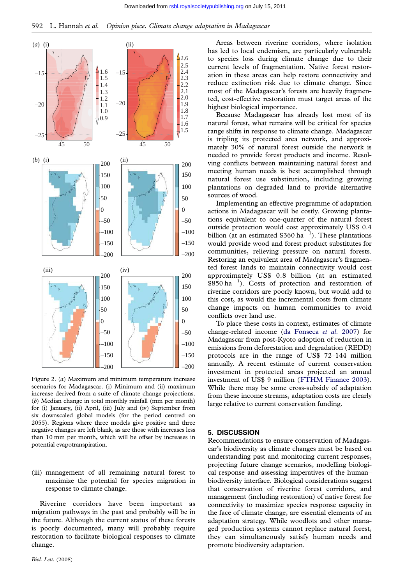<span id="page-3-0"></span>

Figure 2. (a) Maximum and minimum temperature increase scenarios for Madagascar. (i) Minimum and (ii) maximum increase derived from a suite of climate change projections. (b) Median change in total monthly rainfall (mm per month) for (i) January, (ii) April, (iii) July and (iv) September from six downscaled global models (for the period centred on 2055). Regions where three models give positive and three negative changes are left blank, as are those with increases less than 10 mm per month, which will be offset by increases in potential evapotranspiration.

(iii) management of all remaining natural forest to maximize the potential for species migration in response to climate change.

Riverine corridors have been important as migration pathways in the past and probably will be in the future. Although the current status of these forests is poorly documented, many will probably require restoration to facilitate biological responses to climate change.

[Areas](http://rsbl.royalsocietypublishing.org/) [bet](http://rsbl.royalsocietypublishing.org/)ween riverine corridors, where isolation has led to local endemism, are particularly vulnerable to species loss during climate change due to their current levels of fragmentation. Native forest restoration in these areas can help restore connectivity and reduce extinction risk due to climate change. Since most of the Madagascar's forests are heavily fragmented, cost-effective restoration must target areas of the highest biological importance.

Because Madagascar has already lost most of its natural forest, what remains will be critical for species range shifts in response to climate change. Madagascar is tripling its protected area network, and approximately 30% of natural forest outside the network is needed to provide forest products and income. Resolving conflicts between maintaining natural forest and meeting human needs is best accomplished through natural forest use substitution, including growing plantations on degraded land to provide alternative sources of wood.

Implementing an effective programme of adaptation actions in Madagascar will be costly. Growing plantations equivalent to one-quarter of the natural forest outside protection would cost approximately US\$ 0.4 billion (at an estimated  $$360 \text{ ha}^{-1}$ ). These plantations would provide wood and forest product substitutes for communities, relieving pressure on natural forests. Restoring an equivalent area of Madagascar's fragmented forest lands to maintain connectivity would cost approximately US\$ 0.8 billion (at an estimated  $$850 \text{ ha}^{-1}$ ). Costs of protection and restoration of riverine corridors are poorly known, but would add to this cost, as would the incremental costs from climate change impacts on human communities to avoid conflicts over land use.

To place these costs in context, estimates of climate change-related income (da Fonseca et al. 2007) for Madagascar from post-Kyoto adoption of reduction in emissions from deforestation and degradation (REDD) protocols are in the range of US\$ 72–144 million annually. A recent esti[mate of current conserva](#page-5-0)tion investment in protected areas projected an annual investment of US\$ 9 million (FTHM Finance 2003). While there may be some cross-subsidy of adaptation from these income streams, adaptation costs are clearly large relative to current conservation funding.

#### 5. DISCUSSION

Recommendations to ensure conservation of Madagascar's biodiversity as climate changes must be based on understanding past and monitoring current responses, projecting future change scenarios, modelling biological response and assessing imperatives of the human– biodiversity interface. Biological considerations suggest that conservation of riverine forest corridors, and management (including restoration) of native forest for connectivity to maximize species response capacity in the face of climate change, are essential elements of an adaptation strategy. While woodlots and other managed production systems cannot replace natural forest, they can simultaneously satisfy human needs and promote biodiversity adaptation.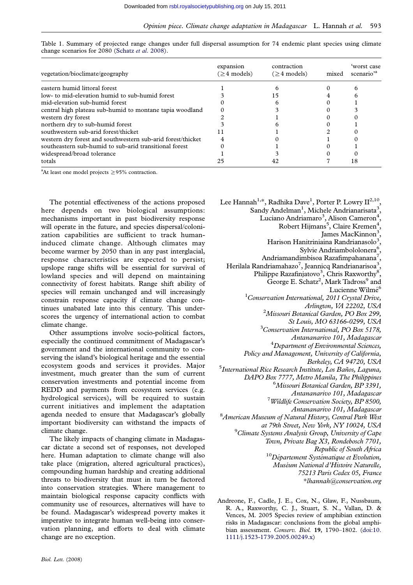| vegetation/bioclimate/geography                             | expansion<br>$( \geq 4 \text{ models} )$ | contraction<br>$(ge 4$ models) | mixed | 'worst case<br>scenario <sup>'a</sup> |
|-------------------------------------------------------------|------------------------------------------|--------------------------------|-------|---------------------------------------|
| eastern humid littoral forest                               |                                          |                                |       |                                       |
| low- to mid-elevation humid to sub-humid forest             |                                          | ۱5                             |       |                                       |
| mid-elevation sub-humid forest                              |                                          |                                |       |                                       |
| central high plateau sub-humid to montane tapia woodland    |                                          |                                |       |                                       |
| western dry forest                                          |                                          |                                |       |                                       |
| northern dry to sub-humid forest                            |                                          |                                |       |                                       |
| southwestern sub-arid forest/thicket                        |                                          |                                |       |                                       |
| western dry forest and southwestern sub-arid forest/thicket |                                          |                                |       |                                       |
| southeastern sub-humid to sub-arid transitional forest      |                                          |                                |       |                                       |
| widespread/broad tolerance                                  |                                          |                                |       |                                       |
| totals                                                      |                                          |                                |       | 18                                    |

<span id="page-4-0"></span>Table 1. Summary of projected range change[s](http://rsbl.royalsocietypublishing.org/) [under](http://rsbl.royalsocietypublishing.org/) [full](http://rsbl.royalsocietypublishing.org/) [dispersal](http://rsbl.royalsocietypublishing.org/) [assum](http://rsbl.royalsocietypublishing.org/)ption for 74 endemic plant species using climate change scenarios for 2080 (Schatz et al. 2008).

<sup>a</sup>At least one model projects  $\geq$ 95% contraction.

The potential effectiveness of the actions proposed here depends on two biological assumptions: mechanisms important in past biodiversity response will operate in the future, and species dispersal/colonization capabilities are sufficient to track humaninduced climate change. Although climates may become warmer by 2050 than in any past interglacial, response characteristics are expected to persist; upslope range shifts will be essential for survival of lowland species and will depend on maintaining connectivity of forest habitats. Range shift ability of species will remain unchanged and will increasingly constrain response capacity if climate change continues unabated late into this century. This underscores the urgency of international action to combat climate change.

Other assumptions involve socio-political factors, especially the continued commitment of Madagascar's government and the international community to conserving the island's biological heritage and the essential ecosystem goods and services it provides. Major investment, much greater than the sum of current conservation investments and potential income from REDD and payments from ecosystem services (e.g. hydrological services), will be required to sustain current initiatives and implement the adaptation agenda needed to ensure that Madagascar's globally important biodiversity can withstand the impacts of climate change.

The likely impacts of changing climate in Madagascar dictate a second set of responses, not developed here. Human adaptation to climate change will also take place (migration, altered agricultural practices), compounding human hardship and creating additional threats to biodiversity that must in turn be factored into conservation strategies. Where management to maintain biological response capacity conflicts with community use of resources, alternatives will have to be found. Madagascar's widespread poverty makes it imperative to integrate human well-being into conservation planning, and efforts to deal with climate change are no exception.

Lee Hannah $^{1,\ast},$  Radhika Dave $^{1},$  Porter P. Lowry II $^{2,10},$ Sandy Andelman<sup>1</sup>, Michele Andrianarisata<sup>3</sup>, Luciano Andriamaro<sup>3</sup>, Alison Cameron<sup>4</sup> , Robert Hijmans<sup>5</sup>, Claire Kremen<sup>4</sup> , James MacKinnon<sup>3</sup>, Harison Hanitriniaina Randrianasolo<sup>3</sup> , Sylvie Andriambololonera<sup>6</sup> , Andriamandimbisoa Razafimpahanana<sup>7</sup> , Herilala Randriamahazo<sup>7</sup>, Jeannicq Randrianarisoa<sup>3</sup>, Philippe Razafinjatovo<sup>3</sup>, Chris Raxworthy<sup>8</sup>, George E. Schatz<sup>2</sup>, Mark Tadross<sup>9</sup> and Lucienne Wilmé<sup>6</sup> <sup>1</sup>Conservation International, 2011 Crystal Drive, Arlington, VA 22202, USA <sup>2</sup> Missouri Botanical Garden, PO Box 299, St Louis, MO 63166-0299, USA  ${}^{3}$ Conservation International, PO Box 5178, Antananarivo 101, Madagascar <sup>4</sup>  ${}^{4}$ Department of Environmental Sciences, Policy and Management, University of California, Berkeley, CA 94720, USA<br>International Rice Research Institute, Los Baños, Laguna, DAPO Box 7777, Metro Manila, The Philippines 6 Missouri Botanical Garden, BP 3391, Antananarivo 101, Madagascar <sup>7</sup> Wildlife Conservation Society, BP 8500, Antananarivo 101, Madagascar <sup>8</sup> American Museum of Natural History, Central Park West at 79th Street, New York, NY 10024, USA  $^{9}$ Climate Systems Analysis Group, University of Cape Town, Private Bag X3, Rondebosch 7701, Republic of South Africa<br><sup>10</sup>Département Systématique et Evolution, Muséum National d'Histoire Naturelle, 75213 Paris Cedex 05, France \*lhannah@conservation.org

Andreone, F., Cadle, J. E., Cox, N., Glaw, F., Nussbaum, R. A., Raxworthy, C. J., Stuart, S. N., Vallan, D. & Vences, M. 2005 Species review of amphibian extinction risks in Madagascar: conclusions from the global amphibian assessment. Conserv. Biol. 19, 1790–1802. (doi:10. 1111/j.1523-1739.2005.00249.x)